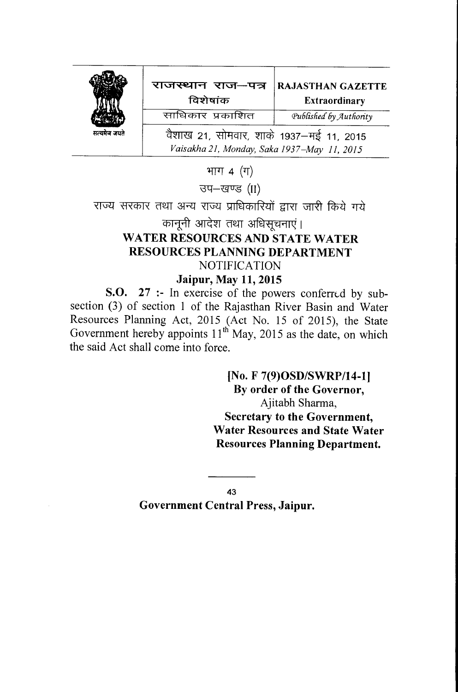|              | राजस्थान राज-पत्र<br>विशेषांक                                                          | <b>RAJASTHAN GAZETTE</b><br><b>Extraordinary</b> |
|--------------|----------------------------------------------------------------------------------------|--------------------------------------------------|
|              | साधिकार प्रकाशित                                                                       | Published by Authority                           |
| सत्यमेव जयते | वैशाख 21, सोमवार, शाके 1937–मई 11, 2015<br>Vaisakha 21, Monday, Saka 1937-May 11, 2015 |                                                  |

भाग  $4$   $($ 

उप-खण्ड (II)

राज्य सरकार तथा अन्य राज्य प्राधिकारियों द्वारा जारी किये गये

## कानूनी आदेश तथा अधिसूचनाएं। **WATER RESOURCES AND STATE WATER RESOURCES PLANNING DEPARTMENT**  NOTIFICATION **Jaipur, May 11, 2015**

**S.O. 27 :-** In exercise of the powers conferred by subsection (3) of section 1 of the Rajasthan River Basin and Water Resources Planning Act, 2015 (Act No. 15 of 2015), the State Government hereby appoints  $11<sup>th</sup>$  May, 2015 as the date, on which the said Act shall come into force.

> **[No. F 7(9)OSD/SWRP/14-11 By order of the Governor,**  Ajitabh Sharma, **Secretary to the Government, Water Resources and State Water Resources Planning Department.**

43 **Government Central Press, Jaipur.**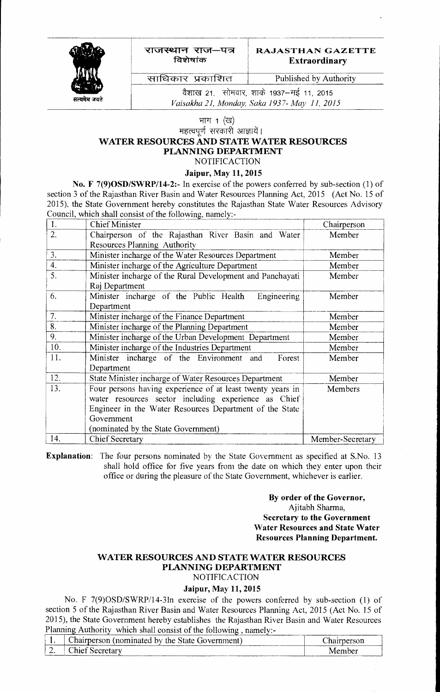

राजस्थान राज—पत्र विशेषांक

## **RAJASTHAN GAZETTE Extraordinary**

साधिकार प्रकाशित

Published by Authority

वैशाख 21, सोमवार, शाके 1937–मई 11, 2015 *VaLsakha 21, Monday, Saka 1937- May 11, 2015* 

# भाग $1$  (ख)

महत्वपूर्ण सरकारी आज्ञायें।

#### **WATER RESOURCES AND STATE WATER RESOURCES PLANNING DEPARTMENT**

NOTIFICACTION

#### **Jaipur, May 11, 2015**

**No. F 7(9)OSD/SWRP/14-2:-** In exercise of the powers conferred by sub-section (1) of section 3 of the Rajasthan River Basin and Water Resources Planning Act, 2015 (Act No. 15 of 2015). the State Government hereby constitutes the Rajasthan State Water Resources Advisory Council, which shall consist of the following, namely:-

| 1.  | <b>Chief Minister</b>                                      | Chairperson      |
|-----|------------------------------------------------------------|------------------|
| 2.  | Chairperson of the Rajasthan River Basin and Water         | Member           |
|     | Resources Planning Authority                               |                  |
| 3.  | Minister incharge of the Water Resources Department        | Member           |
| 4.  | Minister incharge of the Agriculture Department            | Member           |
| 5.  | Minister incharge of the Rural Development and Panchayati  | Member           |
|     | Raj Department                                             |                  |
| 6.  | Minister incharge of the Public Health<br>Engineering      | Member           |
|     | Department                                                 |                  |
| 7.  | Minister incharge of the Finance Department                | Member           |
| 8.  | Minister incharge of the Planning Department               | Member           |
| 9.  | Minister incharge of the Urban Development Department      | Member           |
| 10. | Minister incharge of the Industries Department             | Member           |
| 11. | Minister incharge of the Environment and<br>Forest         | Member           |
|     | Department                                                 |                  |
| 12. | State Minister incharge of Water Resources Department      | Member           |
| 13. | Four persons having experience of at least twenty years in | Members          |
|     | water resources sector including experience as Chief       |                  |
|     | Engineer in the Water Resources Department of the State    |                  |
|     | Government                                                 |                  |
|     | (nominated by the State Government)                        |                  |
| 14. | <b>Chief Secretary</b>                                     | Member-Secretary |

**Explanation:** The four persons nominated by the State Government as specified at S.No. 13 shall hold office for five years from the date on which they enter upon their office or during the pleasure of the State Government, whichever is earlier.

#### **By order of the Governor,**  Ajitabh Sharma, **Secretary to the Government Water Resources and State Water Resources Planning Department.**

## **WATER RESOURCES AND STATE WATER RESOURCES PLANNING DEPARTMENT**

NOTIFICACTION

## **Jaipur, May 11, 2015**

No. F 7(9)0SD/SWRP/14-3In exercise of the powers conferred by sub-section (1) of section 5 of the Rajasthan River Basin and Water Resources Planning Act, 2015 (Act No. 15 of 2015), the State Government hereby establishes the Rajasthan River Basin and Water Resources Planning Authority which shall consist of the following , namely:-

|                               | Chairperson (nominated by the State Government) | hairperson |
|-------------------------------|-------------------------------------------------|------------|
| ↑ Chief Secretary<br><u>.</u> |                                                 | Member     |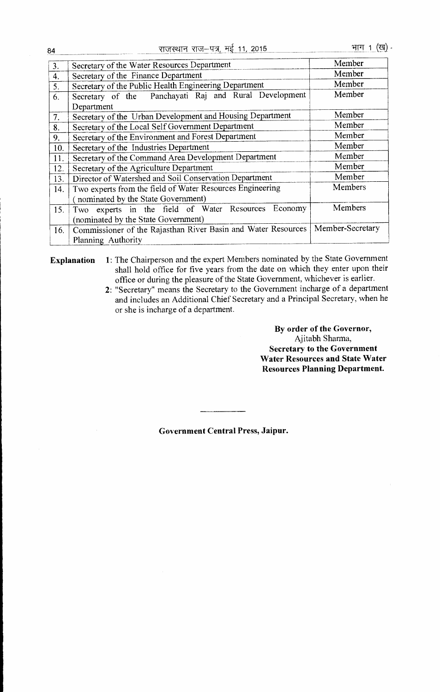| 3.  | Secretary of the Water Resources Department                          | Member           |
|-----|----------------------------------------------------------------------|------------------|
| 4.  | Secretary of the Finance Department                                  | Member           |
| 5.  | Secretary of the Public Health Engineering Department                | Member           |
| 6.  | Secretary of the Panchayati Raj and Rural Development                | Member           |
|     | Department                                                           |                  |
| 7.  | Secretary of the Urban Development and Housing Department            | Member           |
| 8.  | Secretary of the Local Self Government Department                    | Member           |
| 9.  | Secretary of the Environment and Forest Department                   | Member           |
| 10. | Secretary of the Industries Department                               | Member           |
| 11. | Secretary of the Command Area Development Department                 | Member           |
| 12. | Secretary of the Agriculture Department                              | Member           |
| 13. | Director of Watershed and Soil Conservation Department               | Member           |
| 14. | Members<br>Two experts from the field of Water Resources Engineering |                  |
|     | nominated by the State Government)                                   |                  |
| 15. | Two experts in the field of Water Resources<br>Economy               | Members          |
|     | (nominated by the State Government)                                  |                  |
| 16. | Commissioner of the Rajasthan River Basin and Water Resources        | Member-Secretary |
|     | Planning Authority                                                   |                  |

**Explanation** 1: The Chairperson and the expert Members nominated by the State Government shall hold office for five years from the date on which they enter upon their office or during the pleasure of the State Government, whichever is earlier.

2: "Secretary" means the Secretary to the Government incharge of a department and includes an Additional Chief Secretary and a Principal Secretary, when he or she is incharge of a department.

> **By order of the Governor,**  Ajitabh Sharma, **Secretary to the Government Water Resources and State Water Resources Planning Department.**

**Government Central Press, Jaipur.**